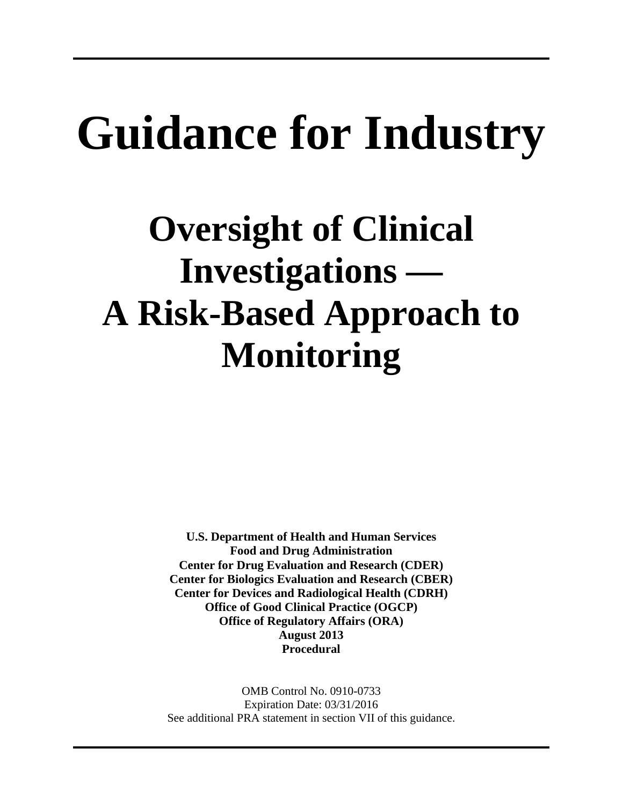# **Guidance for Industry**

### **Oversight of Clinical Investigations — A Risk-Based Approach to Monitoring**

**U.S. Department of Health and Human Services Food and Drug Administration Center for Drug Evaluation and Research (CDER) Center for Biologics Evaluation and Research (CBER) Center for Devices and Radiological Health (CDRH) Office of Good Clinical Practice (OGCP) Office of Regulatory Affairs (ORA) August 2013 Procedural** 

OMB Control No. 0910-0733 Expiration Date: 03/31/2016 See additional PRA statement in section VII of this guidance.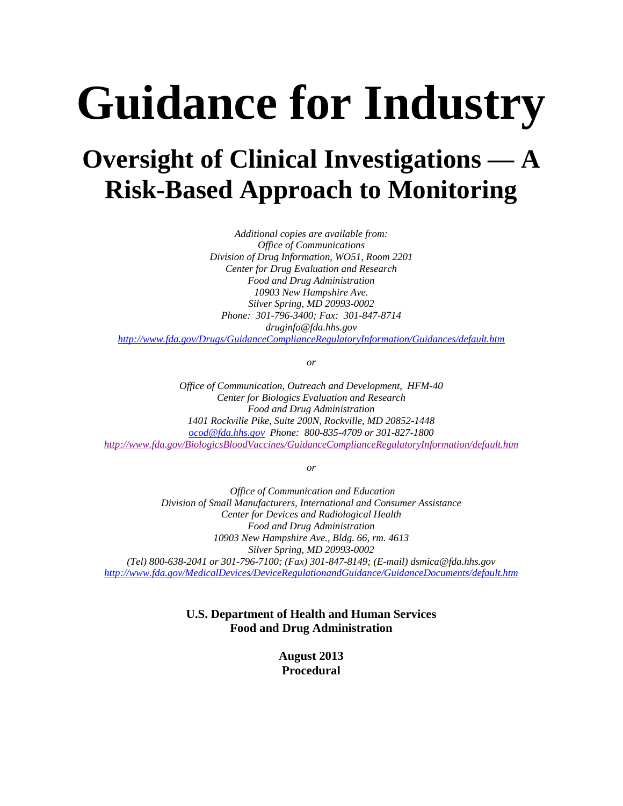## **Guidance for Industry**

### **Oversight of Clinical Investigations — A Risk-Based Approach to Monitoring**

*Additional copies are available from: Office of Communications Division of Drug Information, WO51, Room 2201 Center for Drug Evaluation and Research Food and Drug Administration 10903 New Hampshire Ave. Silver Spring, MD 20993-0002 Phone: 301-796-3400; Fax: 301-847-8714 druginfo@fda.hhs.gov http://www.fda.gov/Drugs/GuidanceComplianceRegulatoryInformation/Guidances/default.htm*

*or* 

*Office of Communication, Outreach and Development, HFM-40 Center for Biologics Evaluation and Research Food and Drug Administration 1401 Rockville Pike, Suite 200N, Rockville, MD 20852-1448 ocod@fda.hhs.gov Phone: 800-835-4709 or 301-827-1800 http://www.fda.gov/BiologicsBloodVaccines/GuidanceComplianceRegulatoryInformation/default.htm*

*or* 

 *Office of Communication and Education Division of Small Manufacturers, International and Consumer Assistance Center for Devices and Radiological Health Food and Drug Administration 10903 New Hampshire Ave., Bldg. 66, rm. 4613 Silver Spring, MD 20993-0002* 

*(Tel) 800-638-2041 or 301-796-7100; (Fax) 301-847-8149; (E-mail) dsmica@fda.hhs.gov http://www.fda.gov/MedicalDevices/DeviceRegulationandGuidance/GuidanceDocuments/default.htm*

> **U.S. Department of Health and Human Services Food and Drug Administration**

> > **August 2013 Procedural**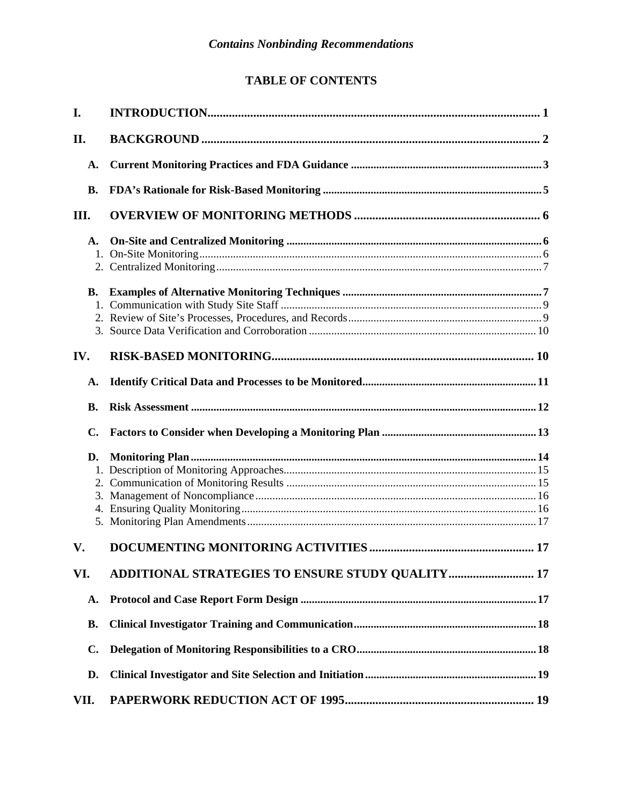#### **TABLE OF CONTENTS**

| I.             |                                                   |
|----------------|---------------------------------------------------|
| II.            |                                                   |
| A.             |                                                   |
| <b>B.</b>      |                                                   |
| Ш.             |                                                   |
| A.             |                                                   |
|                |                                                   |
|                |                                                   |
| <b>B.</b>      |                                                   |
|                |                                                   |
|                |                                                   |
| IV.            |                                                   |
| A.             |                                                   |
|                |                                                   |
| <b>B.</b>      |                                                   |
| C.             |                                                   |
| D.             |                                                   |
|                |                                                   |
|                |                                                   |
|                |                                                   |
|                |                                                   |
|                |                                                   |
| $\mathbf{V}$ . |                                                   |
| VI.            | ADDITIONAL STRATEGIES TO ENSURE STUDY QUALITY  17 |
| A.             |                                                   |
| <b>B.</b>      |                                                   |
| C.             |                                                   |
| D.             |                                                   |
| VII.           |                                                   |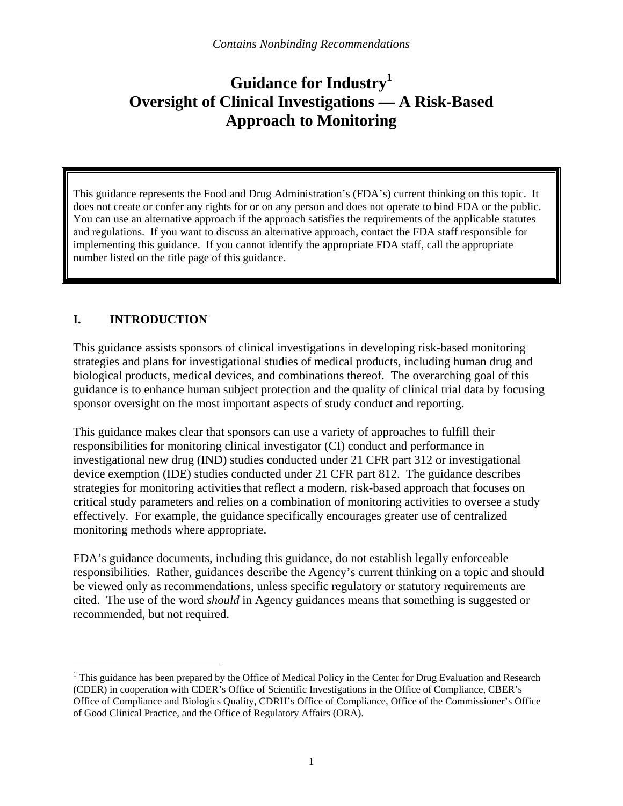#### **Guidance for Industry1 Oversight of Clinical Investigations — A Risk-Based Approach to Monitoring**

This guidance represents the Food and Drug Administration's (FDA's) current thinking on this topic. It does not create or confer any rights for or on any person and does not operate to bind FDA or the public. You can use an alternative approach if the approach satisfies the requirements of the applicable statutes and regulations. If you want to discuss an alternative approach, contact the FDA staff responsible for implementing this guidance. If you cannot identify the appropriate FDA staff, call the appropriate number listed on the title page of this guidance.

#### **I. INTRODUCTION**

This guidance assists sponsors of clinical investigations in developing risk-based monitoring strategies and plans for investigational studies of medical products, including human drug and biological products, medical devices, and combinations thereof. The overarching goal of this guidance is to enhance human subject protection and the quality of clinical trial data by focusing sponsor oversight on the most important aspects of study conduct and reporting.

This guidance makes clear that sponsors can use a variety of approaches to fulfill their responsibilities for monitoring clinical investigator (CI) conduct and performance in investigational new drug (IND) studies conducted under 21 CFR part 312 or investigational device exemption (IDE) studies conducted under 21 CFR part 812. The guidance describes strategies for monitoring activitiesthat reflect a modern, risk-based approach that focuses on critical study parameters and relies on a combination of monitoring activities to oversee a study effectively. For example, the guidance specifically encourages greater use of centralized monitoring methods where appropriate.

FDA's guidance documents, including this guidance, do not establish legally enforceable responsibilities. Rather, guidances describe the Agency's current thinking on a topic and should be viewed only as recommendations, unless specific regulatory or statutory requirements are cited. The use of the word *should* in Agency guidances means that something is suggested or recommended, but not required.

<sup>1</sup> <sup>1</sup> This guidance has been prepared by the Office of Medical Policy in the Center for Drug Evaluation and Research (CDER) in cooperation with CDER's Office of Scientific Investigations in the Office of Compliance, CBER's Office of Compliance and Biologics Quality, CDRH's Office of Compliance, Office of the Commissioner's Office of Good Clinical Practice, and the Office of Regulatory Affairs (ORA).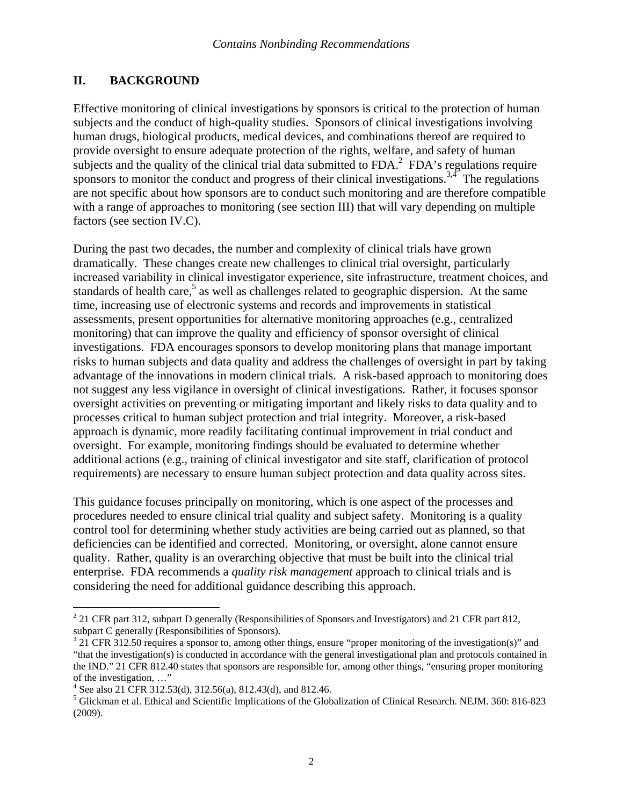#### **II. BACKGROUND**

Effective monitoring of clinical investigations by sponsors is critical to the protection of human subjects and the conduct of high-quality studies. Sponsors of clinical investigations involving human drugs, biological products, medical devices, and combinations thereof are required to provide oversight to ensure adequate protection of the rights, welfare, and safety of human subjects and the quality of the clinical trial data submitted to  $FDA$ <sup>2</sup>  $FDA$ 's regulations require sponsors to monitor the conduct and progress of their clinical investigations.<sup>3,4</sup> The regulations are not specific about how sponsors are to conduct such monitoring and are therefore compatible with a range of approaches to monitoring (see section III) that will vary depending on multiple factors (see section IV.C).

During the past two decades, the number and complexity of clinical trials have grown dramatically. These changes create new challenges to clinical trial oversight, particularly increased variability in clinical investigator experience, site infrastructure, treatment choices, and standards of health care,<sup>5</sup> as well as challenges related to geographic dispersion. At the same time, increasing use of electronic systems and records and improvements in statistical assessments, present opportunities for alternative monitoring approaches (e.g., centralized monitoring) that can improve the quality and efficiency of sponsor oversight of clinical investigations. FDA encourages sponsors to develop monitoring plans that manage important risks to human subjects and data quality and address the challenges of oversight in part by taking advantage of the innovations in modern clinical trials. A risk-based approach to monitoring does not suggest any less vigilance in oversight of clinical investigations. Rather, it focuses sponsor oversight activities on preventing or mitigating important and likely risks to data quality and to processes critical to human subject protection and trial integrity. Moreover, a risk-based approach is dynamic, more readily facilitating continual improvement in trial conduct and oversight. For example, monitoring findings should be evaluated to determine whether additional actions (e.g., training of clinical investigator and site staff, clarification of protocol requirements) are necessary to ensure human subject protection and data quality across sites.

This guidance focuses principally on monitoring, which is one aspect of the processes and procedures needed to ensure clinical trial quality and subject safety. Monitoring is a quality control tool for determining whether study activities are being carried out as planned, so that deficiencies can be identified and corrected. Monitoring, or oversight, alone cannot ensure quality. Rather, quality is an overarching objective that must be built into the clinical trial enterprise. FDA recommends a *quality risk management* approach to clinical trials and is considering the need for additional guidance describing this approach.

 $\overline{a}$ 

 $2$  21 CFR part 312, subpart D generally (Responsibilities of Sponsors and Investigators) and 21 CFR part 812, subpart C generally (Responsibilities of Sponsors).

 $3$  21 CFR 312.50 requires a sponsor to, among other things, ensure "proper monitoring of the investigation(s)" and "that the investigation(s) is conducted in accordance with the general investigational plan and protocols contained in the IND." 21 CFR 812.40 states that sponsors are responsible for, among other things, "ensuring proper monitoring of the investigation, …"

<sup>4</sup> See also 21 CFR 312.53(d), 312.56(a), 812.43(d), and 812.46.

<sup>&</sup>lt;sup>5</sup> Glickman et al. Ethical and Scientific Implications of the Globalization of Clinical Research. NEJM. 360: 816-823 (2009).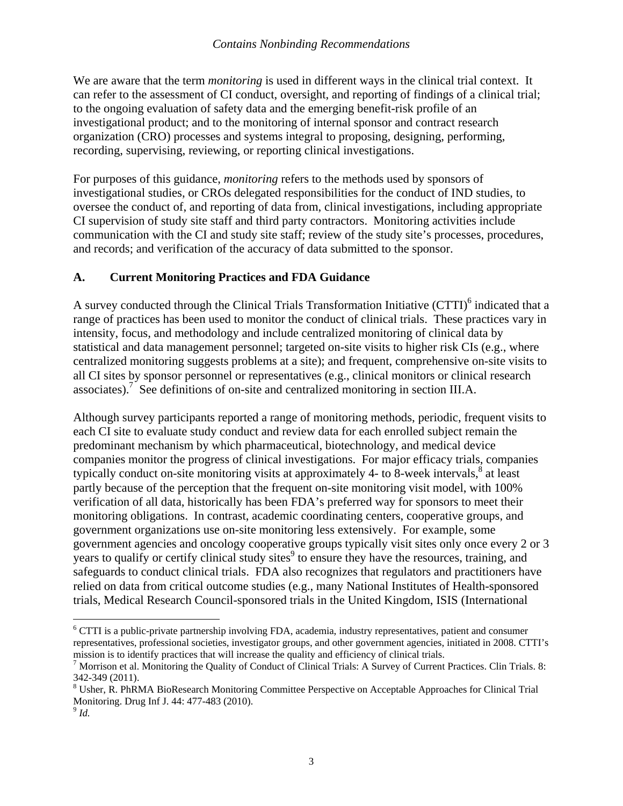We are aware that the term *monitoring* is used in different ways in the clinical trial context. It can refer to the assessment of CI conduct, oversight, and reporting of findings of a clinical trial; to the ongoing evaluation of safety data and the emerging benefit-risk profile of an investigational product; and to the monitoring of internal sponsor and contract research organization (CRO) processes and systems integral to proposing, designing, performing, recording, supervising, reviewing, or reporting clinical investigations.

For purposes of this guidance, *monitoring* refers to the methods used by sponsors of investigational studies, or CROs delegated responsibilities for the conduct of IND studies, to oversee the conduct of, and reporting of data from, clinical investigations, including appropriate CI supervision of study site staff and third party contractors. Monitoring activities include communication with the CI and study site staff; review of the study site's processes, procedures, and records; and verification of the accuracy of data submitted to the sponsor.

#### **A. Current Monitoring Practices and FDA Guidance**

A survey conducted through the Clinical Trials Transformation Initiative (CTTI)<sup>6</sup> indicated that a range of practices has been used to monitor the conduct of clinical trials. These practices vary in intensity, focus, and methodology and include centralized monitoring of clinical data by statistical and data management personnel; targeted on-site visits to higher risk CIs (e.g., where centralized monitoring suggests problems at a site); and frequent, comprehensive on-site visits to all CI sites by sponsor personnel or representatives (e.g., clinical monitors or clinical research associates).<sup>7</sup> See definitions of on-site and centralized monitoring in section III.A.

Although survey participants reported a range of monitoring methods, periodic, frequent visits to each CI site to evaluate study conduct and review data for each enrolled subject remain the predominant mechanism by which pharmaceutical, biotechnology, and medical device companies monitor the progress of clinical investigations. For major efficacy trials, companies typically conduct on-site monitoring visits at approximately 4- to  $\ddot{\text{8}}$ -week intervals,  $\ddot{\text{8}}$  at least partly because of the perception that the frequent on-site monitoring visit model, with 100% verification of all data, historically has been FDA's preferred way for sponsors to meet their monitoring obligations. In contrast, academic coordinating centers, cooperative groups, and government organizations use on-site monitoring less extensively. For example, some government agencies and oncology cooperative groups typically visit sites only once every 2 or 3 years to qualify or certify clinical study sites<sup>9</sup> to ensure they have the resources, training, and safeguards to conduct clinical trials. FDA also recognizes that regulators and practitioners have relied on data from critical outcome studies (e.g., many National Institutes of Health-sponsored trials, Medical Research Council-sponsored trials in the United Kingdom, ISIS (International

1

<sup>&</sup>lt;sup>6</sup> CTTI is a public-private partnership involving FDA, academia, industry representatives, patient and consumer representatives, professional societies, investigator groups, and other government agencies, initiated in 2008. CTTI's mission is to identify practices that will increase the quality and efficiency of clinical trials. 7

<sup>&</sup>lt;sup>7</sup> Morrison et al. Monitoring the Quality of Conduct of Clinical Trials: A Survey of Current Practices. Clin Trials. 8: 342-349 (2011).

<sup>&</sup>lt;sup>8</sup> Usher, R. PhRMA BioResearch Monitoring Committee Perspective on Acceptable Approaches for Clinical Trial Monitoring. Drug Inf J. 44: 477-483 (2010).

<sup>9</sup> *Id.*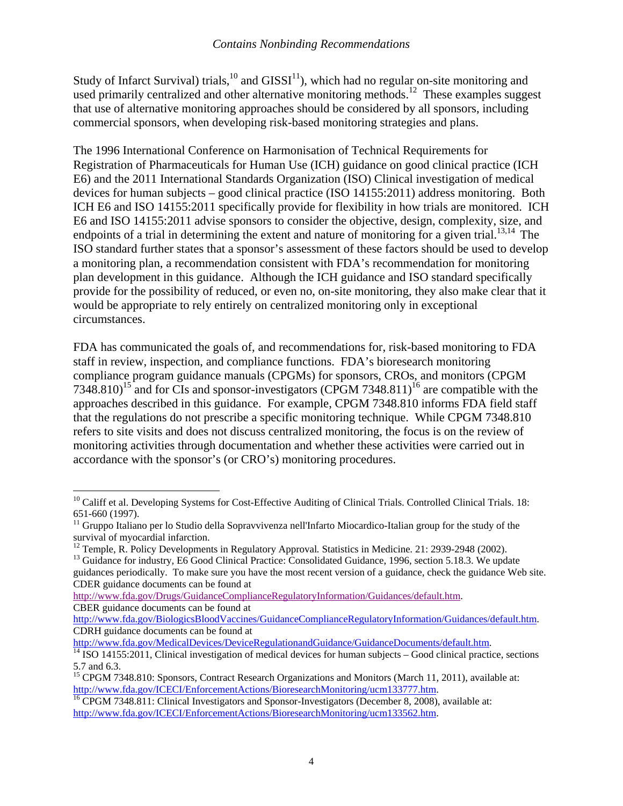Study of Infarct Survival) trials,<sup>10</sup> and  $GISSI<sup>11</sup>$ , which had no regular on-site monitoring and used primarily centralized and other alternative monitoring methods.<sup>12</sup> These examples suggest that use of alternative monitoring approaches should be considered by all sponsors, including commercial sponsors, when developing risk-based monitoring strategies and plans.

The 1996 International Conference on Harmonisation of Technical Requirements for Registration of Pharmaceuticals for Human Use (ICH) guidance on good clinical practice (ICH E6) and the 2011 International Standards Organization (ISO) Clinical investigation of medical devices for human subjects – good clinical practice (ISO 14155:2011) address monitoring. Both ICH E6 and ISO 14155:2011 specifically provide for flexibility in how trials are monitored. ICH E6 and ISO 14155:2011 advise sponsors to consider the objective, design, complexity, size, and endpoints of a trial in determining the extent and nature of monitoring for a given trial.<sup>13,14</sup> The ISO standard further states that a sponsor's assessment of these factors should be used to develop a monitoring plan, a recommendation consistent with FDA's recommendation for monitoring plan development in this guidance. Although the ICH guidance and ISO standard specifically provide for the possibility of reduced, or even no, on-site monitoring, they also make clear that it would be appropriate to rely entirely on centralized monitoring only in exceptional circumstances.

FDA has communicated the goals of, and recommendations for, risk-based monitoring to FDA staff in review, inspection, and compliance functions. FDA's bioresearch monitoring compliance program guidance manuals (CPGMs) for sponsors, CROs, and monitors (CPGM  $7348.810$ <sup>15</sup> and for CIs and sponsor-investigators (CPGM 7348.811)<sup>16</sup> are compatible with the approaches described in this guidance. For example, CPGM 7348.810 informs FDA field staff that the regulations do not prescribe a specific monitoring technique. While CPGM 7348.810 refers to site visits and does not discuss centralized monitoring, the focus is on the review of monitoring activities through documentation and whether these activities were carried out in accordance with the sponsor's (or CRO's) monitoring procedures.

<sup>13</sup> Guidance for industry, E6 Good Clinical Practice: Consolidated Guidance, 1996, section 5.18.3. We update guidances periodically. To make sure you have the most recent version of a guidance, check the guidance Web site. CDER guidance documents can be found at

http://www.fda.gov/Drugs/GuidanceComplianceRegulatoryInformation/Guidances/default.htm. CBER guidance documents can be found at

 $\overline{a}$ 

http://www.fda.gov/BiologicsBloodVaccines/GuidanceComplianceRegulatoryInformation/Guidances/default.htm. CDRH guidance documents can be found at<br>http://www.fda.gov/MedicalDevices/DeviceRegulationandGuidance/GuidanceDocuments/default.htm.

<sup>&</sup>lt;sup>10</sup> Califf et al. Developing Systems for Cost-Effective Auditing of Clinical Trials. Controlled Clinical Trials. 18: 651-660 (1997).

 $11$  Gruppo Italiano per lo Studio della Sopravvivenza nell'Infarto Miocardico-Italian group for the study of the survival of myocardial infarction.<br><sup>12</sup> Temple, R. Policy Developments in Regulatory Approval. Statistics in Medicine. 21: 2939-2948 (2002).

<sup>&</sup>lt;sup>14</sup> ISO 14155:2011, Clinical investigation of medical devices for human subjects – Good clinical practice, sections 5.7 and 6.3.

<sup>&</sup>lt;sup>15</sup> CPGM 7348.810: Sponsors, Contract Research Organizations and Monitors (March 11, 2011), available at:<br>http://www.fda.gov/ICECI/EnforcementActions/BioresearchMonitoring/ucm133777.htm.

 $\frac{16}{16}$  CPGM 7348.811: Clinical Investigators and Sponsor-Investigators (December 8, 2008), available at: http://www.fda.gov/ICECI/EnforcementActions/BioresearchMonitoring/ucm133562.htm.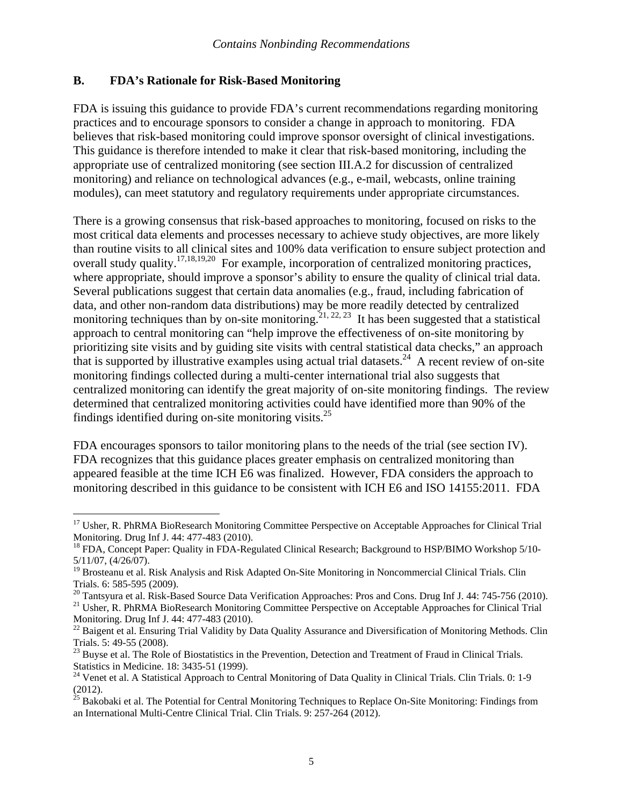#### **B. FDA's Rationale for Risk-Based Monitoring**

 $\overline{a}$ 

FDA is issuing this guidance to provide FDA's current recommendations regarding monitoring practices and to encourage sponsors to consider a change in approach to monitoring. FDA believes that risk-based monitoring could improve sponsor oversight of clinical investigations. This guidance is therefore intended to make it clear that risk-based monitoring, including the appropriate use of centralized monitoring (see section III.A.2 for discussion of centralized monitoring) and reliance on technological advances (e.g., e-mail, webcasts, online training modules), can meet statutory and regulatory requirements under appropriate circumstances.

There is a growing consensus that risk-based approaches to monitoring, focused on risks to the most critical data elements and processes necessary to achieve study objectives, are more likely than routine visits to all clinical sites and 100% data verification to ensure subject protection and overall study quality.<sup>17,18,19,20</sup> For example, incorporation of centralized monitoring practices, where appropriate, should improve a sponsor's ability to ensure the quality of clinical trial data. Several publications suggest that certain data anomalies (e.g., fraud, including fabrication of data, and other non-random data distributions) may be more readily detected by centralized monitoring techniques than by on-site monitoring.<sup>21, 22, 23</sup> It has been suggested that a statistical approach to central monitoring can "help improve the effectiveness of on-site monitoring by prioritizing site visits and by guiding site visits with central statistical data checks," an approach that is supported by illustrative examples using actual trial datasets.<sup>24</sup> A recent review of on-site monitoring findings collected during a multi-center international trial also suggests that centralized monitoring can identify the great majority of on-site monitoring findings. The review determined that centralized monitoring activities could have identified more than 90% of the findings identified during on-site monitoring visits. $^{25}$ 

FDA encourages sponsors to tailor monitoring plans to the needs of the trial (see section IV). FDA recognizes that this guidance places greater emphasis on centralized monitoring than appeared feasible at the time ICH E6 was finalized. However, FDA considers the approach to monitoring described in this guidance to be consistent with ICH E6 and ISO 14155:2011. FDA

<sup>&</sup>lt;sup>17</sup> Usher, R. PhRMA BioResearch Monitoring Committee Perspective on Acceptable Approaches for Clinical Trial Monitoring. Drug Inf J. 44: 477-483 (2010).

<sup>&</sup>lt;sup>18</sup> FDA, Concept Paper: Quality in FDA-Regulated Clinical Research; Background to HSP/BIMO Workshop 5/10-5/11/07, (4/26/07).

<sup>&</sup>lt;sup>19</sup> Brosteanu et al. Risk Analysis and Risk Adapted On-Site Monitoring in Noncommercial Clinical Trials. Clin Trials. 6: 585-595 (2009).

<sup>&</sup>lt;sup>20</sup> Tantsyura et al. Risk-Based Source Data Verification Approaches: Pros and Cons. Drug Inf J. 44: 745-756 (2010).

<sup>&</sup>lt;sup>21</sup> Usher, R. PhRMA BioResearch Monitoring Committee Perspective on Acceptable Approaches for Clinical Trial Monitoring. Drug Inf J. 44: 477-483 (2010).

 $^{22}$  Baigent et al. Ensuring Trial Validity by Data Quality Assurance and Diversification of Monitoring Methods. Clin Trials. 5: 49-55 (2008).

<sup>&</sup>lt;sup>23</sup> Buyse et al. The Role of Biostatistics in the Prevention, Detection and Treatment of Fraud in Clinical Trials. Statistics in Medicine. 18: 3435-51 (1999).

<sup>&</sup>lt;sup>24</sup> Venet et al. A Statistical Approach to Central Monitoring of Data Quality in Clinical Trials. Clin Trials. 0: 1-9  $(2012)$ .

<sup>25</sup> Bakobaki et al. The Potential for Central Monitoring Techniques to Replace On-Site Monitoring: Findings from an International Multi-Centre Clinical Trial. Clin Trials. 9: 257-264 (2012).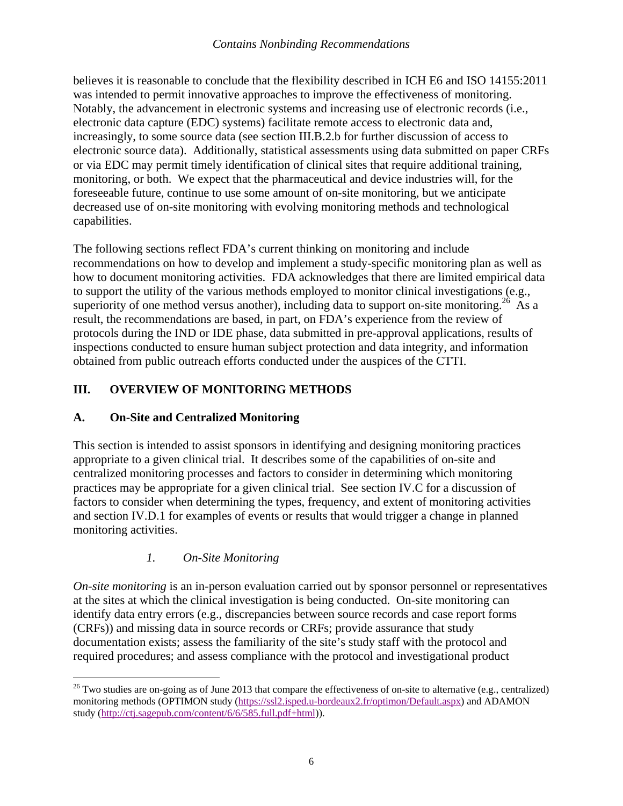believes it is reasonable to conclude that the flexibility described in ICH E6 and ISO 14155:2011 was intended to permit innovative approaches to improve the effectiveness of monitoring. Notably, the advancement in electronic systems and increasing use of electronic records (i.e., electronic data capture (EDC) systems) facilitate remote access to electronic data and, increasingly, to some source data (see section III.B.2.b for further discussion of access to electronic source data). Additionally, statistical assessments using data submitted on paper CRFs or via EDC may permit timely identification of clinical sites that require additional training, monitoring, or both. We expect that the pharmaceutical and device industries will, for the foreseeable future, continue to use some amount of on-site monitoring, but we anticipate decreased use of on-site monitoring with evolving monitoring methods and technological capabilities.

The following sections reflect FDA's current thinking on monitoring and include recommendations on how to develop and implement a study-specific monitoring plan as well as how to document monitoring activities. FDA acknowledges that there are limited empirical data to support the utility of the various methods employed to monitor clinical investigations (e.g., superiority of one method versus another), including data to support on-site monitoring.<sup>26</sup> As a result, the recommendations are based, in part, on FDA's experience from the review of protocols during the IND or IDE phase, data submitted in pre-approval applications, results of inspections conducted to ensure human subject protection and data integrity, and information obtained from public outreach efforts conducted under the auspices of the CTTI.

#### **III. OVERVIEW OF MONITORING METHODS**

#### **A. On-Site and Centralized Monitoring**

This section is intended to assist sponsors in identifying and designing monitoring practices appropriate to a given clinical trial. It describes some of the capabilities of on-site and centralized monitoring processes and factors to consider in determining which monitoring practices may be appropriate for a given clinical trial. See section IV.C for a discussion of factors to consider when determining the types, frequency, and extent of monitoring activities and section IV.D.1 for examples of events or results that would trigger a change in planned monitoring activities.

#### *1. On-Site Monitoring*

*On-site monitoring* is an in-person evaluation carried out by sponsor personnel or representatives at the sites at which the clinical investigation is being conducted. On-site monitoring can identify data entry errors (e.g., discrepancies between source records and case report forms (CRFs)) and missing data in source records or CRFs; provide assurance that study documentation exists; assess the familiarity of the site's study staff with the protocol and required procedures; and assess compliance with the protocol and investigational product

<sup>&</sup>lt;u>.</u>  $26$  Two studies are on-going as of June 2013 that compare the effectiveness of on-site to alternative (e.g., centralized) monitoring methods (OPTIMON study (https://ssl2.isped.u-bordeaux2.fr/optimon/Default.aspx) and ADAMON study (http://ctj.sagepub.com/content/6/6/585.full.pdf+html)).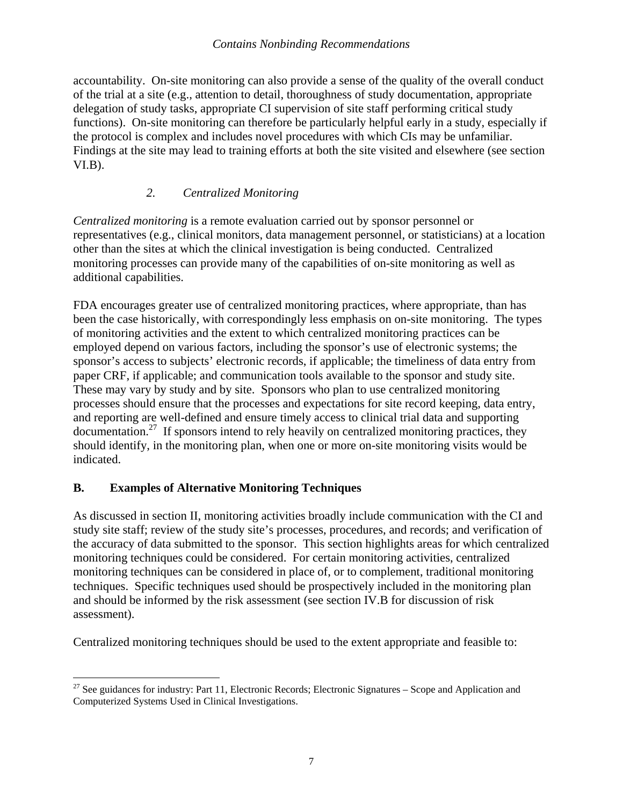accountability. On-site monitoring can also provide a sense of the quality of the overall conduct of the trial at a site (e.g., attention to detail, thoroughness of study documentation, appropriate delegation of study tasks, appropriate CI supervision of site staff performing critical study functions). On-site monitoring can therefore be particularly helpful early in a study, especially if the protocol is complex and includes novel procedures with which CIs may be unfamiliar. Findings at the site may lead to training efforts at both the site visited and elsewhere (see section VI.B).

#### *2. Centralized Monitoring*

*Centralized monitoring* is a remote evaluation carried out by sponsor personnel or representatives (e.g., clinical monitors, data management personnel, or statisticians) at a location other than the sites at which the clinical investigation is being conducted. Centralized monitoring processes can provide many of the capabilities of on-site monitoring as well as additional capabilities.

FDA encourages greater use of centralized monitoring practices, where appropriate, than has been the case historically, with correspondingly less emphasis on on-site monitoring. The types of monitoring activities and the extent to which centralized monitoring practices can be employed depend on various factors, including the sponsor's use of electronic systems; the sponsor's access to subjects' electronic records, if applicable; the timeliness of data entry from paper CRF, if applicable; and communication tools available to the sponsor and study site. These may vary by study and by site. Sponsors who plan to use centralized monitoring processes should ensure that the processes and expectations for site record keeping, data entry, and reporting are well-defined and ensure timely access to clinical trial data and supporting documentation.<sup>27</sup> If sponsors intend to rely heavily on centralized monitoring practices, they should identify, in the monitoring plan, when one or more on-site monitoring visits would be indicated.

#### **B. Examples of Alternative Monitoring Techniques**

 $\overline{a}$ 

As discussed in section II, monitoring activities broadly include communication with the CI and study site staff; review of the study site's processes, procedures, and records; and verification of the accuracy of data submitted to the sponsor. This section highlights areas for which centralized monitoring techniques could be considered. For certain monitoring activities, centralized monitoring techniques can be considered in place of, or to complement, traditional monitoring techniques. Specific techniques used should be prospectively included in the monitoring plan and should be informed by the risk assessment (see section IV.B for discussion of risk assessment).

Centralized monitoring techniques should be used to the extent appropriate and feasible to:

<sup>&</sup>lt;sup>27</sup> See guidances for industry: Part 11, Electronic Records; Electronic Signatures – Scope and Application and Computerized Systems Used in Clinical Investigations.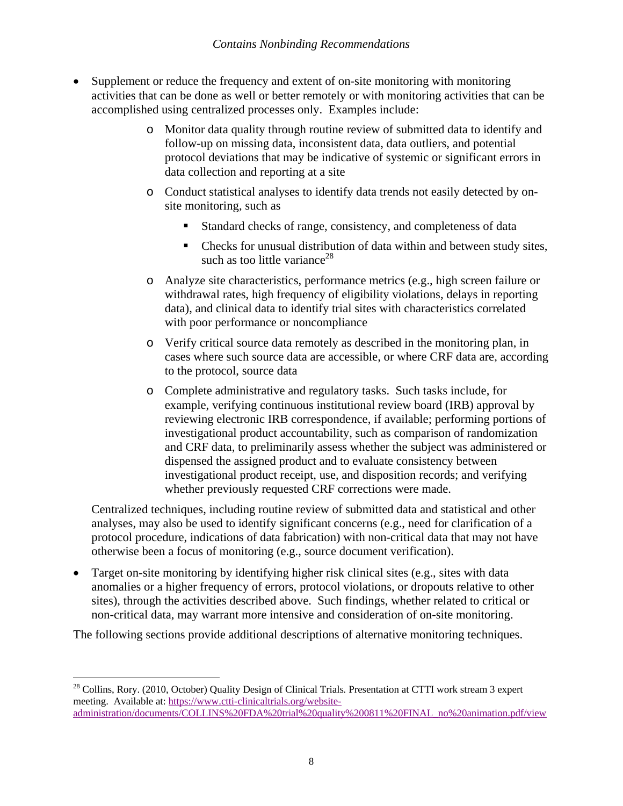- Supplement or reduce the frequency and extent of on-site monitoring with monitoring activities that can be done as well or better remotely or with monitoring activities that can be accomplished using centralized processes only. Examples include:
	- o Monitor data quality through routine review of submitted data to identify and follow-up on missing data, inconsistent data, data outliers, and potential protocol deviations that may be indicative of systemic or significant errors in data collection and reporting at a site
	- o Conduct statistical analyses to identify data trends not easily detected by onsite monitoring, such as
		- Standard checks of range, consistency, and completeness of data
		- Checks for unusual distribution of data within and between study sites, such as too little variance<sup>28</sup>
	- o Analyze site characteristics, performance metrics (e.g., high screen failure or withdrawal rates, high frequency of eligibility violations, delays in reporting data), and clinical data to identify trial sites with characteristics correlated with poor performance or noncompliance
	- o Verify critical source data remotely as described in the monitoring plan, in cases where such source data are accessible, or where CRF data are, according to the protocol, source data
	- o Complete administrative and regulatory tasks. Such tasks include, for example, verifying continuous institutional review board (IRB) approval by reviewing electronic IRB correspondence, if available; performing portions of investigational product accountability, such as comparison of randomization and CRF data, to preliminarily assess whether the subject was administered or dispensed the assigned product and to evaluate consistency between investigational product receipt, use, and disposition records; and verifying whether previously requested CRF corrections were made.

Centralized techniques, including routine review of submitted data and statistical and other analyses, may also be used to identify significant concerns (e.g., need for clarification of a protocol procedure, indications of data fabrication) with non-critical data that may not have otherwise been a focus of monitoring (e.g., source document verification).

 Target on-site monitoring by identifying higher risk clinical sites (e.g., sites with data anomalies or a higher frequency of errors, protocol violations, or dropouts relative to other sites), through the activities described above. Such findings, whether related to critical or non-critical data, may warrant more intensive and consideration of on-site monitoring.

The following sections provide additional descriptions of alternative monitoring techniques.

 $\overline{a}$ 

<sup>28</sup> Collins, Rory. (2010, October) Quality Design of Clinical Trials*.* Presentation at CTTI work stream 3 expert meeting. Available at: https://www.ctti-clinicaltrials.org/websiteadministration/documents/COLLINS%20FDA%20trial%20quality%200811%20FINAL\_no%20animation.pdf/view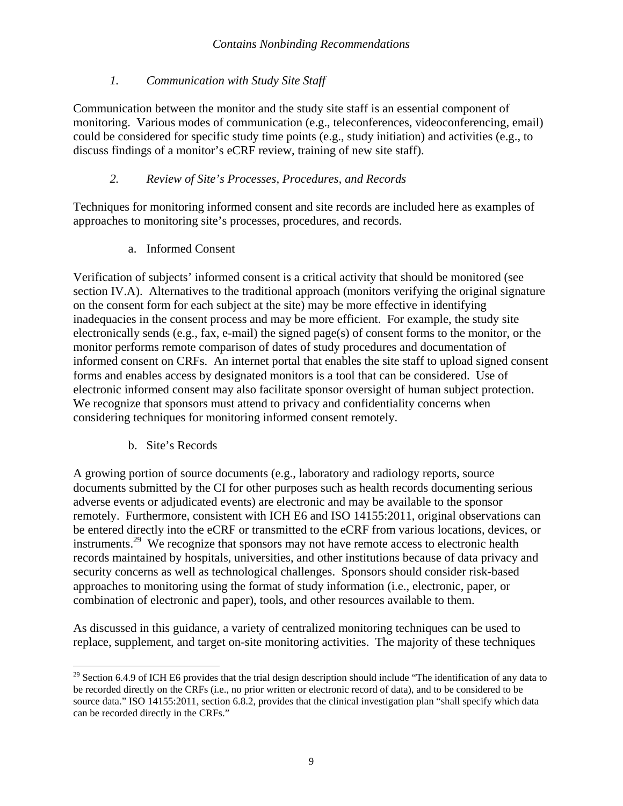#### *1. Communication with Study Site Staff*

Communication between the monitor and the study site staff is an essential component of monitoring. Various modes of communication (e.g., teleconferences, videoconferencing, email) could be considered for specific study time points (e.g., study initiation) and activities (e.g., to discuss findings of a monitor's eCRF review, training of new site staff).

#### *2. Review of Site's Processes, Procedures, and Records*

Techniques for monitoring informed consent and site records are included here as examples of approaches to monitoring site's processes, procedures, and records.

a. Informed Consent

Verification of subjects' informed consent is a critical activity that should be monitored (see section IV.A). Alternatives to the traditional approach (monitors verifying the original signature on the consent form for each subject at the site) may be more effective in identifying inadequacies in the consent process and may be more efficient. For example, the study site electronically sends (e.g., fax, e-mail) the signed page(s) of consent forms to the monitor, or the monitor performs remote comparison of dates of study procedures and documentation of informed consent on CRFs. An internet portal that enables the site staff to upload signed consent forms and enables access by designated monitors is a tool that can be considered. Use of electronic informed consent may also facilitate sponsor oversight of human subject protection. We recognize that sponsors must attend to privacy and confidentiality concerns when considering techniques for monitoring informed consent remotely.

b. Site's Records

A growing portion of source documents (e.g., laboratory and radiology reports, source documents submitted by the CI for other purposes such as health records documenting serious adverse events or adjudicated events) are electronic and may be available to the sponsor remotely. Furthermore, consistent with ICH E6 and ISO 14155:2011, original observations can be entered directly into the eCRF or transmitted to the eCRF from various locations, devices, or instruments.<sup>29</sup> We recognize that sponsors may not have remote access to electronic health records maintained by hospitals, universities, and other institutions because of data privacy and security concerns as well as technological challenges. Sponsors should consider risk-based approaches to monitoring using the format of study information (i.e., electronic, paper, or combination of electronic and paper), tools, and other resources available to them.

As discussed in this guidance, a variety of centralized monitoring techniques can be used to replace, supplement, and target on-site monitoring activities. The majority of these techniques

 $\overline{a}$  $29$  Section 6.4.9 of ICH E6 provides that the trial design description should include "The identification of any data to be recorded directly on the CRFs (i.e., no prior written or electronic record of data), and to be considered to be source data." ISO 14155:2011, section 6.8.2, provides that the clinical investigation plan "shall specify which data can be recorded directly in the CRFs."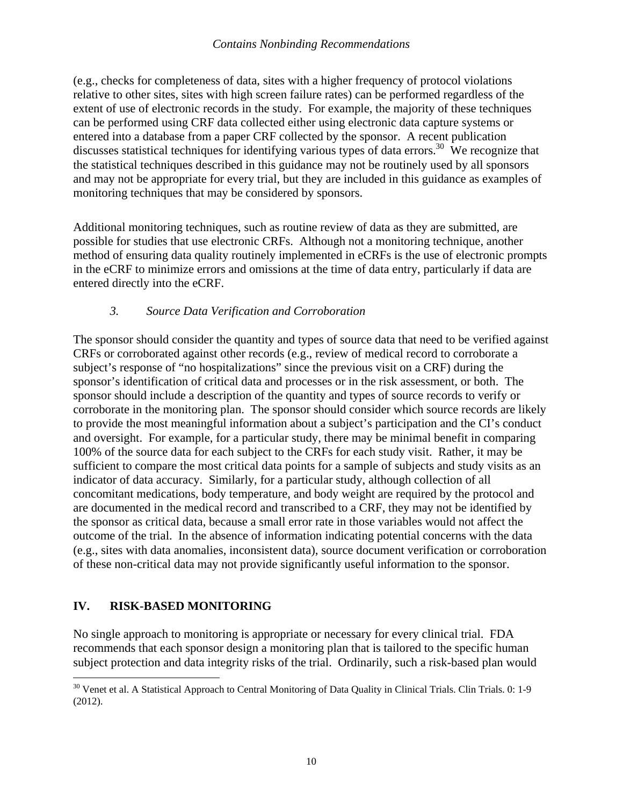(e.g., checks for completeness of data, sites with a higher frequency of protocol violations relative to other sites, sites with high screen failure rates) can be performed regardless of the extent of use of electronic records in the study. For example, the majority of these techniques can be performed using CRF data collected either using electronic data capture systems or entered into a database from a paper CRF collected by the sponsor. A recent publication discusses statistical techniques for identifying various types of data errors.<sup>30</sup> We recognize that the statistical techniques described in this guidance may not be routinely used by all sponsors and may not be appropriate for every trial, but they are included in this guidance as examples of monitoring techniques that may be considered by sponsors.

Additional monitoring techniques, such as routine review of data as they are submitted, are possible for studies that use electronic CRFs. Although not a monitoring technique, another method of ensuring data quality routinely implemented in eCRFs is the use of electronic prompts in the eCRF to minimize errors and omissions at the time of data entry, particularly if data are entered directly into the eCRF.

#### *3. Source Data Verification and Corroboration*

The sponsor should consider the quantity and types of source data that need to be verified against CRFs or corroborated against other records (e.g., review of medical record to corroborate a subject's response of "no hospitalizations" since the previous visit on a CRF) during the sponsor's identification of critical data and processes or in the risk assessment, or both. The sponsor should include a description of the quantity and types of source records to verify or corroborate in the monitoring plan. The sponsor should consider which source records are likely to provide the most meaningful information about a subject's participation and the CI's conduct and oversight. For example, for a particular study, there may be minimal benefit in comparing 100% of the source data for each subject to the CRFs for each study visit. Rather, it may be sufficient to compare the most critical data points for a sample of subjects and study visits as an indicator of data accuracy. Similarly, for a particular study, although collection of all concomitant medications, body temperature, and body weight are required by the protocol and are documented in the medical record and transcribed to a CRF, they may not be identified by the sponsor as critical data, because a small error rate in those variables would not affect the outcome of the trial. In the absence of information indicating potential concerns with the data (e.g., sites with data anomalies, inconsistent data), source document verification or corroboration of these non-critical data may not provide significantly useful information to the sponsor.

#### **IV. RISK-BASED MONITORING**

No single approach to monitoring is appropriate or necessary for every clinical trial. FDA recommends that each sponsor design a monitoring plan that is tailored to the specific human subject protection and data integrity risks of the trial. Ordinarily, such a risk-based plan would

 $\overline{a}$ <sup>30</sup> Venet et al. A Statistical Approach to Central Monitoring of Data Quality in Clinical Trials. Clin Trials. 0: 1-9 (2012).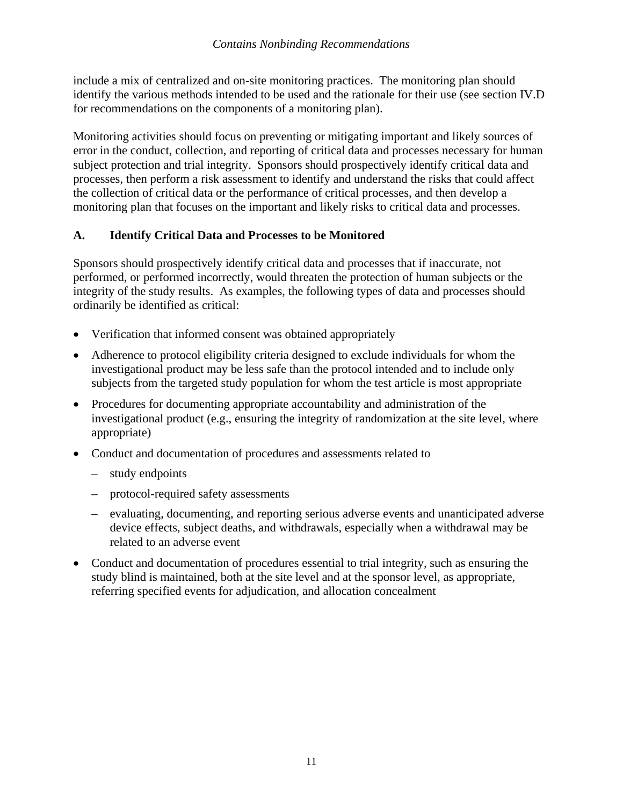include a mix of centralized and on-site monitoring practices. The monitoring plan should identify the various methods intended to be used and the rationale for their use (see section IV.D for recommendations on the components of a monitoring plan).

Monitoring activities should focus on preventing or mitigating important and likely sources of error in the conduct, collection, and reporting of critical data and processes necessary for human subject protection and trial integrity. Sponsors should prospectively identify critical data and processes, then perform a risk assessment to identify and understand the risks that could affect the collection of critical data or the performance of critical processes, and then develop a monitoring plan that focuses on the important and likely risks to critical data and processes.

#### **A. Identify Critical Data and Processes to be Monitored**

Sponsors should prospectively identify critical data and processes that if inaccurate, not performed, or performed incorrectly, would threaten the protection of human subjects or the integrity of the study results. As examples, the following types of data and processes should ordinarily be identified as critical:

- Verification that informed consent was obtained appropriately
- Adherence to protocol eligibility criteria designed to exclude individuals for whom the investigational product may be less safe than the protocol intended and to include only subjects from the targeted study population for whom the test article is most appropriate
- Procedures for documenting appropriate accountability and administration of the investigational product (e.g., ensuring the integrity of randomization at the site level, where appropriate)
- Conduct and documentation of procedures and assessments related to
	- study endpoints
	- protocol-required safety assessments
	- evaluating, documenting, and reporting serious adverse events and unanticipated adverse device effects, subject deaths, and withdrawals, especially when a withdrawal may be related to an adverse event
- Conduct and documentation of procedures essential to trial integrity, such as ensuring the study blind is maintained, both at the site level and at the sponsor level, as appropriate, referring specified events for adjudication, and allocation concealment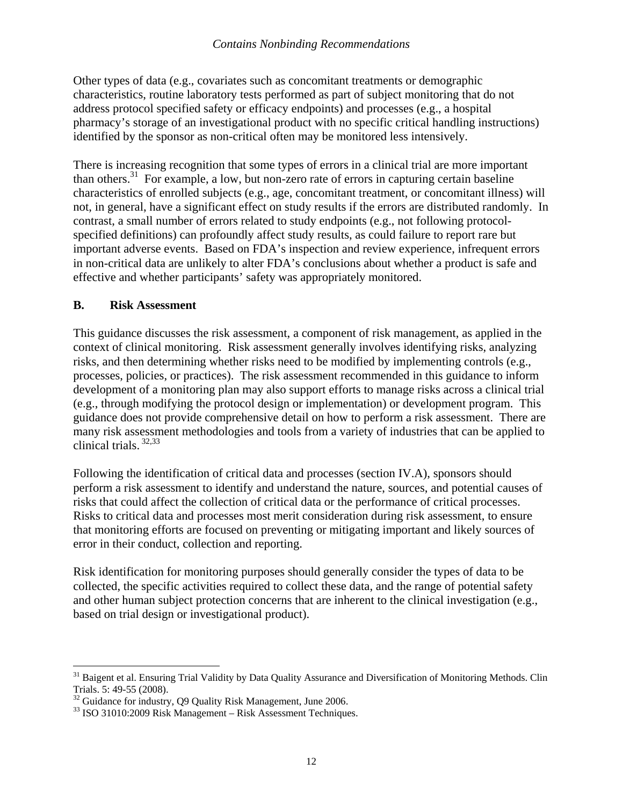Other types of data (e.g., covariates such as concomitant treatments or demographic characteristics, routine laboratory tests performed as part of subject monitoring that do not address protocol specified safety or efficacy endpoints) and processes (e.g., a hospital pharmacy's storage of an investigational product with no specific critical handling instructions) identified by the sponsor as non-critical often may be monitored less intensively.

There is increasing recognition that some types of errors in a clinical trial are more important than others.<sup>31</sup> For example, a low, but non-zero rate of errors in capturing certain baseline characteristics of enrolled subjects (e.g., age, concomitant treatment, or concomitant illness) will not, in general, have a significant effect on study results if the errors are distributed randomly. In contrast, a small number of errors related to study endpoints (e.g., not following protocolspecified definitions) can profoundly affect study results, as could failure to report rare but important adverse events. Based on FDA's inspection and review experience, infrequent errors in non-critical data are unlikely to alter FDA's conclusions about whether a product is safe and effective and whether participants' safety was appropriately monitored.

#### **B. Risk Assessment**

1

This guidance discusses the risk assessment, a component of risk management, as applied in the context of clinical monitoring. Risk assessment generally involves identifying risks, analyzing risks, and then determining whether risks need to be modified by implementing controls (e.g., processes, policies, or practices). The risk assessment recommended in this guidance to inform development of a monitoring plan may also support efforts to manage risks across a clinical trial (e.g., through modifying the protocol design or implementation) or development program. This guidance does not provide comprehensive detail on how to perform a risk assessment. There are many risk assessment methodologies and tools from a variety of industries that can be applied to clinical trials. 32,33

Following the identification of critical data and processes (section IV.A), sponsors should perform a risk assessment to identify and understand the nature, sources, and potential causes of risks that could affect the collection of critical data or the performance of critical processes. Risks to critical data and processes most merit consideration during risk assessment, to ensure that monitoring efforts are focused on preventing or mitigating important and likely sources of error in their conduct, collection and reporting.

Risk identification for monitoring purposes should generally consider the types of data to be collected, the specific activities required to collect these data, and the range of potential safety and other human subject protection concerns that are inherent to the clinical investigation (e.g., based on trial design or investigational product).

<sup>&</sup>lt;sup>31</sup> Baigent et al. Ensuring Trial Validity by Data Quality Assurance and Diversification of Monitoring Methods. Clin Trials. 5: 49-55 (2008).

<sup>&</sup>lt;sup>32</sup> Guidance for industry, Q9 Quality Risk Management, June 2006.

<sup>33</sup> ISO 31010:2009 Risk Management – Risk Assessment Techniques.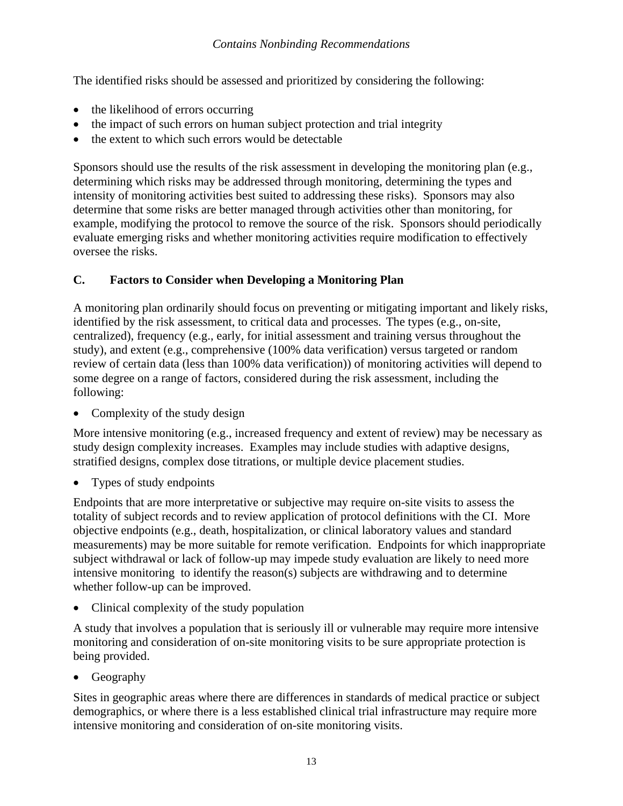The identified risks should be assessed and prioritized by considering the following:

- the likelihood of errors occurring
- the impact of such errors on human subject protection and trial integrity
- the extent to which such errors would be detectable

Sponsors should use the results of the risk assessment in developing the monitoring plan (e.g., determining which risks may be addressed through monitoring, determining the types and intensity of monitoring activities best suited to addressing these risks). Sponsors may also determine that some risks are better managed through activities other than monitoring, for example, modifying the protocol to remove the source of the risk. Sponsors should periodically evaluate emerging risks and whether monitoring activities require modification to effectively oversee the risks.

#### **C. Factors to Consider when Developing a Monitoring Plan**

A monitoring plan ordinarily should focus on preventing or mitigating important and likely risks, identified by the risk assessment, to critical data and processes. The types (e.g., on-site, centralized), frequency (e.g., early, for initial assessment and training versus throughout the study), and extent (e.g., comprehensive (100% data verification) versus targeted or random review of certain data (less than 100% data verification)) of monitoring activities will depend to some degree on a range of factors, considered during the risk assessment, including the following:

Complexity of the study design

More intensive monitoring (e.g., increased frequency and extent of review) may be necessary as study design complexity increases. Examples may include studies with adaptive designs, stratified designs, complex dose titrations, or multiple device placement studies.

Types of study endpoints

Endpoints that are more interpretative or subjective may require on-site visits to assess the totality of subject records and to review application of protocol definitions with the CI. More objective endpoints (e.g., death, hospitalization, or clinical laboratory values and standard measurements) may be more suitable for remote verification. Endpoints for which inappropriate subject withdrawal or lack of follow-up may impede study evaluation are likely to need more intensive monitoring to identify the reason(s) subjects are withdrawing and to determine whether follow-up can be improved.

• Clinical complexity of the study population

A study that involves a population that is seriously ill or vulnerable may require more intensive monitoring and consideration of on-site monitoring visits to be sure appropriate protection is being provided.

• Geography

Sites in geographic areas where there are differences in standards of medical practice or subject demographics, or where there is a less established clinical trial infrastructure may require more intensive monitoring and consideration of on-site monitoring visits.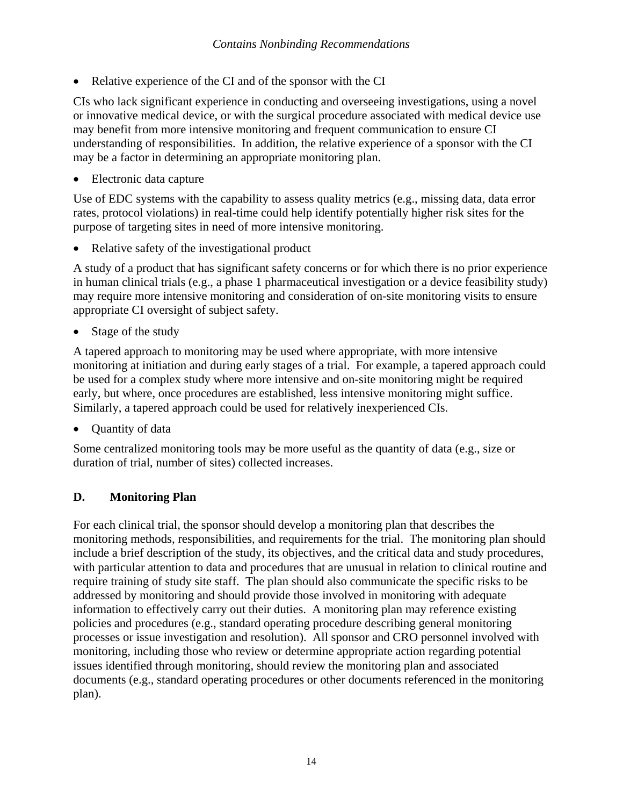• Relative experience of the CI and of the sponsor with the CI

CIs who lack significant experience in conducting and overseeing investigations, using a novel or innovative medical device, or with the surgical procedure associated with medical device use may benefit from more intensive monitoring and frequent communication to ensure CI understanding of responsibilities. In addition, the relative experience of a sponsor with the CI may be a factor in determining an appropriate monitoring plan.

• Electronic data capture

Use of EDC systems with the capability to assess quality metrics (e.g., missing data, data error rates, protocol violations) in real-time could help identify potentially higher risk sites for the purpose of targeting sites in need of more intensive monitoring.

Relative safety of the investigational product

A study of a product that has significant safety concerns or for which there is no prior experience in human clinical trials (e.g., a phase 1 pharmaceutical investigation or a device feasibility study) may require more intensive monitoring and consideration of on-site monitoring visits to ensure appropriate CI oversight of subject safety.

Stage of the study

A tapered approach to monitoring may be used where appropriate, with more intensive monitoring at initiation and during early stages of a trial. For example, a tapered approach could be used for a complex study where more intensive and on-site monitoring might be required early, but where, once procedures are established, less intensive monitoring might suffice. Similarly, a tapered approach could be used for relatively inexperienced CIs.

Quantity of data

Some centralized monitoring tools may be more useful as the quantity of data (e.g., size or duration of trial, number of sites) collected increases.

#### **D. Monitoring Plan**

For each clinical trial, the sponsor should develop a monitoring plan that describes the monitoring methods, responsibilities, and requirements for the trial. The monitoring plan should include a brief description of the study, its objectives, and the critical data and study procedures, with particular attention to data and procedures that are unusual in relation to clinical routine and require training of study site staff. The plan should also communicate the specific risks to be addressed by monitoring and should provide those involved in monitoring with adequate information to effectively carry out their duties. A monitoring plan may reference existing policies and procedures (e.g., standard operating procedure describing general monitoring processes or issue investigation and resolution). All sponsor and CRO personnel involved with monitoring, including those who review or determine appropriate action regarding potential issues identified through monitoring, should review the monitoring plan and associated documents (e.g., standard operating procedures or other documents referenced in the monitoring plan).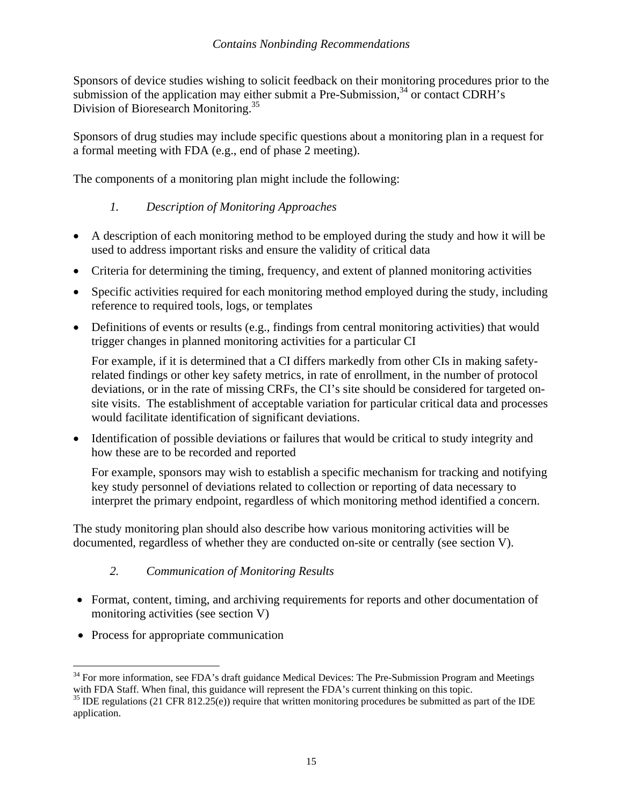Sponsors of device studies wishing to solicit feedback on their monitoring procedures prior to the submission of the application may either submit a Pre-Submission,  $34$  or contact CDRH's Division of Bioresearch Monitoring.35

Sponsors of drug studies may include specific questions about a monitoring plan in a request for a formal meeting with FDA (e.g., end of phase 2 meeting).

The components of a monitoring plan might include the following:

#### *1. Description of Monitoring Approaches*

- A description of each monitoring method to be employed during the study and how it will be used to address important risks and ensure the validity of critical data
- Criteria for determining the timing, frequency, and extent of planned monitoring activities
- Specific activities required for each monitoring method employed during the study, including reference to required tools, logs, or templates
- Definitions of events or results (e.g., findings from central monitoring activities) that would trigger changes in planned monitoring activities for a particular CI

For example, if it is determined that a CI differs markedly from other CIs in making safetyrelated findings or other key safety metrics, in rate of enrollment, in the number of protocol deviations, or in the rate of missing CRFs, the CI's site should be considered for targeted onsite visits. The establishment of acceptable variation for particular critical data and processes would facilitate identification of significant deviations.

 Identification of possible deviations or failures that would be critical to study integrity and how these are to be recorded and reported

For example, sponsors may wish to establish a specific mechanism for tracking and notifying key study personnel of deviations related to collection or reporting of data necessary to interpret the primary endpoint, regardless of which monitoring method identified a concern.

The study monitoring plan should also describe how various monitoring activities will be documented, regardless of whether they are conducted on-site or centrally (see section V).

#### *2. Communication of Monitoring Results*

- Format, content, timing, and archiving requirements for reports and other documentation of monitoring activities (see section V)
- Process for appropriate communication

 $\overline{a}$ <sup>34</sup> For more information, see FDA's draft guidance Medical Devices: The Pre-Submission Program and Meetings with FDA Staff. When final, this guidance will represent the FDA's current thinking on this topic.<br><sup>35</sup> IDE regulations (21 CFR 812.25(e)) require that written monitoring procedures be submitted as part of the IDE

application.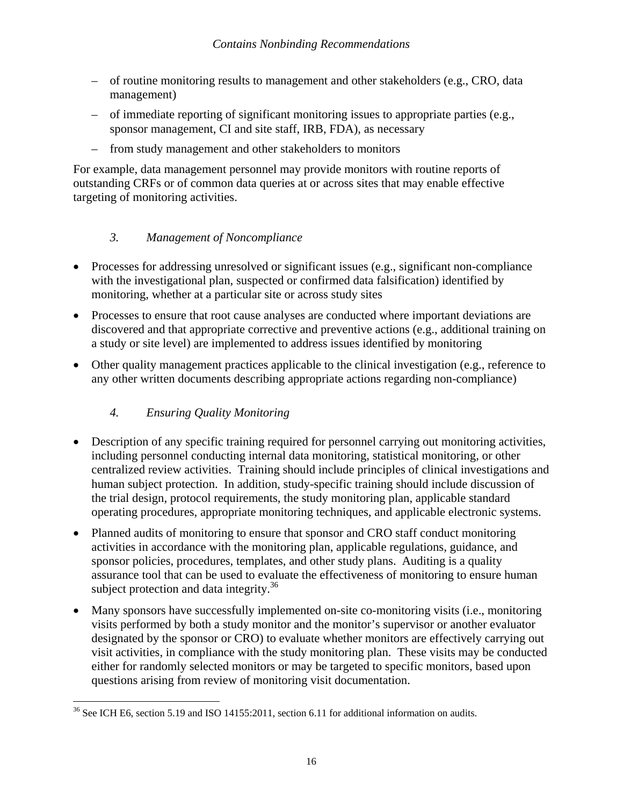- of routine monitoring results to management and other stakeholders (e.g., CRO, data management)
- of immediate reporting of significant monitoring issues to appropriate parties (e.g., sponsor management, CI and site staff, IRB, FDA), as necessary
- from study management and other stakeholders to monitors

For example, data management personnel may provide monitors with routine reports of outstanding CRFs or of common data queries at or across sites that may enable effective targeting of monitoring activities.

#### *3. Management of Noncompliance*

- Processes for addressing unresolved or significant issues (e.g., significant non-compliance with the investigational plan, suspected or confirmed data falsification) identified by monitoring, whether at a particular site or across study sites
- Processes to ensure that root cause analyses are conducted where important deviations are discovered and that appropriate corrective and preventive actions (e.g., additional training on a study or site level) are implemented to address issues identified by monitoring
- Other quality management practices applicable to the clinical investigation (e.g., reference to any other written documents describing appropriate actions regarding non-compliance)

#### *4. Ensuring Quality Monitoring*

- Description of any specific training required for personnel carrying out monitoring activities, including personnel conducting internal data monitoring, statistical monitoring, or other centralized review activities. Training should include principles of clinical investigations and human subject protection. In addition, study-specific training should include discussion of the trial design, protocol requirements, the study monitoring plan, applicable standard operating procedures, appropriate monitoring techniques, and applicable electronic systems.
- Planned audits of monitoring to ensure that sponsor and CRO staff conduct monitoring activities in accordance with the monitoring plan, applicable regulations, guidance, and sponsor policies, procedures, templates, and other study plans. Auditing is a quality assurance tool that can be used to evaluate the effectiveness of monitoring to ensure human subject protection and data integrity.<sup>36</sup>
- Many sponsors have successfully implemented on-site co-monitoring visits (i.e., monitoring visits performed by both a study monitor and the monitor's supervisor or another evaluator designated by the sponsor or CRO) to evaluate whether monitors are effectively carrying out visit activities, in compliance with the study monitoring plan. These visits may be conducted either for randomly selected monitors or may be targeted to specific monitors, based upon questions arising from review of monitoring visit documentation.

 $\overline{a}$  $36$  See ICH E6, section 5.19 and ISO 14155:2011, section 6.11 for additional information on audits.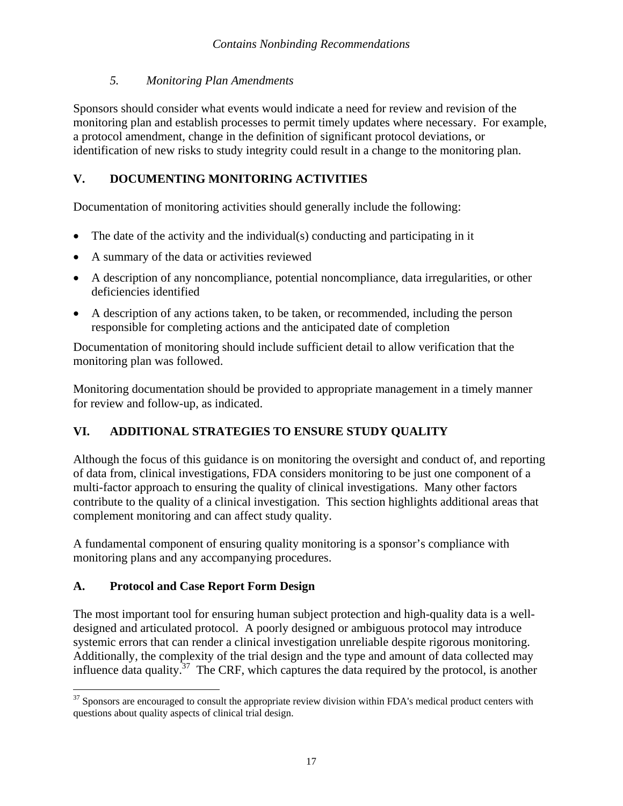#### *5. Monitoring Plan Amendments*

Sponsors should consider what events would indicate a need for review and revision of the monitoring plan and establish processes to permit timely updates where necessary. For example, a protocol amendment, change in the definition of significant protocol deviations, or identification of new risks to study integrity could result in a change to the monitoring plan.

#### **V. DOCUMENTING MONITORING ACTIVITIES**

Documentation of monitoring activities should generally include the following:

- The date of the activity and the individual(s) conducting and participating in it
- A summary of the data or activities reviewed
- A description of any noncompliance, potential noncompliance, data irregularities, or other deficiencies identified
- A description of any actions taken, to be taken, or recommended, including the person responsible for completing actions and the anticipated date of completion

Documentation of monitoring should include sufficient detail to allow verification that the monitoring plan was followed.

Monitoring documentation should be provided to appropriate management in a timely manner for review and follow-up, as indicated.

#### **VI. ADDITIONAL STRATEGIES TO ENSURE STUDY QUALITY**

Although the focus of this guidance is on monitoring the oversight and conduct of, and reporting of data from, clinical investigations, FDA considers monitoring to be just one component of a multi-factor approach to ensuring the quality of clinical investigations. Many other factors contribute to the quality of a clinical investigation. This section highlights additional areas that complement monitoring and can affect study quality.

A fundamental component of ensuring quality monitoring is a sponsor's compliance with monitoring plans and any accompanying procedures.

#### **A. Protocol and Case Report Form Design**

The most important tool for ensuring human subject protection and high-quality data is a welldesigned and articulated protocol. A poorly designed or ambiguous protocol may introduce systemic errors that can render a clinical investigation unreliable despite rigorous monitoring. Additionally, the complexity of the trial design and the type and amount of data collected may influence data quality.<sup>37</sup> The CRF, which captures the data required by the protocol, is another

 $\overline{a}$  $37$  Sponsors are encouraged to consult the appropriate review division within FDA's medical product centers with questions about quality aspects of clinical trial design.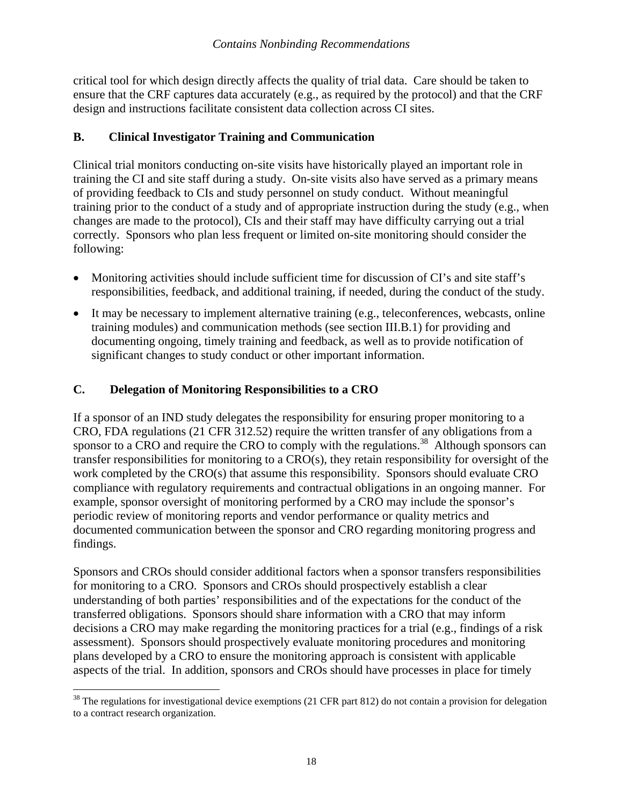critical tool for which design directly affects the quality of trial data. Care should be taken to ensure that the CRF captures data accurately (e.g., as required by the protocol) and that the CRF design and instructions facilitate consistent data collection across CI sites.

#### **B. Clinical Investigator Training and Communication**

Clinical trial monitors conducting on-site visits have historically played an important role in training the CI and site staff during a study. On-site visits also have served as a primary means of providing feedback to CIs and study personnel on study conduct. Without meaningful training prior to the conduct of a study and of appropriate instruction during the study (e.g., when changes are made to the protocol), CIs and their staff may have difficulty carrying out a trial correctly. Sponsors who plan less frequent or limited on-site monitoring should consider the following:

- Monitoring activities should include sufficient time for discussion of CI's and site staff's responsibilities, feedback, and additional training, if needed, during the conduct of the study.
- It may be necessary to implement alternative training (e.g., teleconferences, webcasts, online training modules) and communication methods (see section III.B.1) for providing and documenting ongoing, timely training and feedback, as well as to provide notification of significant changes to study conduct or other important information.

#### **C. Delegation of Monitoring Responsibilities to a CRO**

If a sponsor of an IND study delegates the responsibility for ensuring proper monitoring to a CRO, FDA regulations (21 CFR 312.52) require the written transfer of any obligations from a sponsor to a CRO and require the CRO to comply with the regulations.<sup>38</sup> Although sponsors can transfer responsibilities for monitoring to a CRO(s), they retain responsibility for oversight of the work completed by the CRO(s) that assume this responsibility. Sponsors should evaluate CRO compliance with regulatory requirements and contractual obligations in an ongoing manner. For example, sponsor oversight of monitoring performed by a CRO may include the sponsor's periodic review of monitoring reports and vendor performance or quality metrics and documented communication between the sponsor and CRO regarding monitoring progress and findings.

Sponsors and CROs should consider additional factors when a sponsor transfers responsibilities for monitoring to a CRO. Sponsors and CROs should prospectively establish a clear understanding of both parties' responsibilities and of the expectations for the conduct of the transferred obligations. Sponsors should share information with a CRO that may inform decisions a CRO may make regarding the monitoring practices for a trial (e.g., findings of a risk assessment). Sponsors should prospectively evaluate monitoring procedures and monitoring plans developed by a CRO to ensure the monitoring approach is consistent with applicable aspects of the trial. In addition, sponsors and CROs should have processes in place for timely

 $\overline{a}$  $38$  The regulations for investigational device exemptions (21 CFR part 812) do not contain a provision for delegation to a contract research organization.